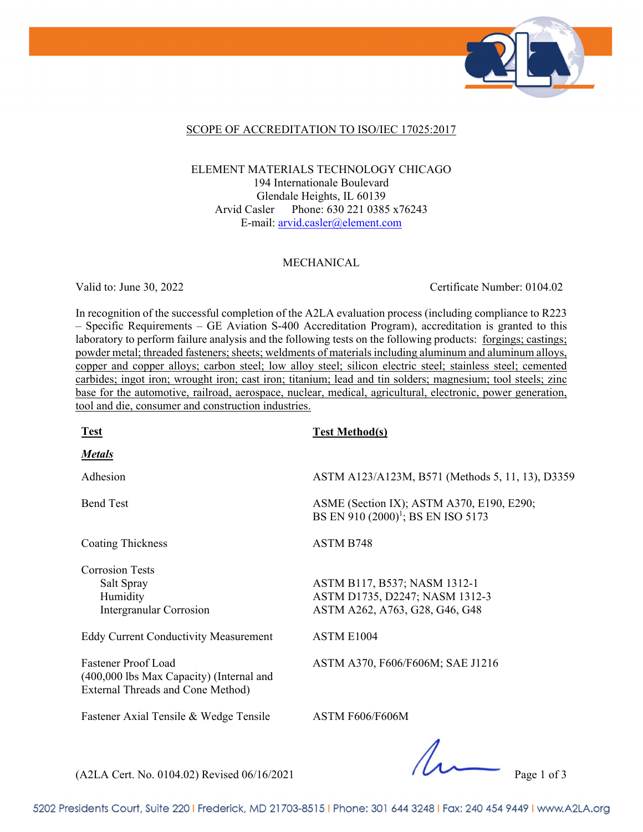

## SCOPE OF ACCREDITATION TO ISO/IEC 17025:2017

ELEMENT MATERIALS TECHNOLOGY CHICAGO 194 Internationale Boulevard Glendale Heights, IL 60139 Arvid Casler Phone: 630 221 0385 x76243 E-mail: arvid.casler@element.com

### MECHANICAL

Valid to: June 30, 2022 Certificate Number: 0104.02

In recognition of the successful completion of the A2LA evaluation process (including compliance to R223 – Specific Requirements – GE Aviation S-400 Accreditation Program), accreditation is granted to this laboratory to perform failure analysis and the following tests on the following products: forgings; castings; powder metal; threaded fasteners; sheets; weldments of materials including aluminum and aluminum alloys, copper and copper alloys; carbon steel; low alloy steel; silicon electric steel; stainless steel; cemented carbides; ingot iron; wrought iron; cast iron; titanium; lead and tin solders; magnesium; tool steels; zinc base for the automotive, railroad, aerospace, nuclear, medical, agricultural, electronic, power generation, tool and die, consumer and construction industries.

| <b>Test</b>                                                                                          | <b>Test Method(s)</b>                                                                            |
|------------------------------------------------------------------------------------------------------|--------------------------------------------------------------------------------------------------|
| <b>Metals</b>                                                                                        |                                                                                                  |
| Adhesion                                                                                             | ASTM A123/A123M, B571 (Methods 5, 11, 13), D3359                                                 |
| <b>Bend Test</b>                                                                                     | ASME (Section IX); ASTM A370, E190, E290;<br>BS EN 910 (2000) <sup>1</sup> ; BS EN ISO 5173      |
| Coating Thickness                                                                                    | ASTM B748                                                                                        |
| <b>Corrosion Tests</b><br>Salt Spray<br>Humidity<br>Intergranular Corrosion                          | ASTM B117, B537; NASM 1312-1<br>ASTM D1735, D2247; NASM 1312-3<br>ASTM A262, A763, G28, G46, G48 |
| <b>Eddy Current Conductivity Measurement</b>                                                         | ASTM E1004                                                                                       |
| Fastener Proof Load<br>(400,000 lbs Max Capacity) (Internal and<br>External Threads and Cone Method) | ASTM A370, F606/F606M; SAE J1216                                                                 |
| Fastener Axial Tensile & Wedge Tensile                                                               | ASTM F606/F606M                                                                                  |
|                                                                                                      |                                                                                                  |

 $(A2LA$  Cert. No. 0104.02) Revised 06/16/2021

5202 Presidents Court, Suite 220 | Frederick, MD 21703-8515 | Phone: 301 644 3248 | Fax: 240 454 9449 | www.A2LA.org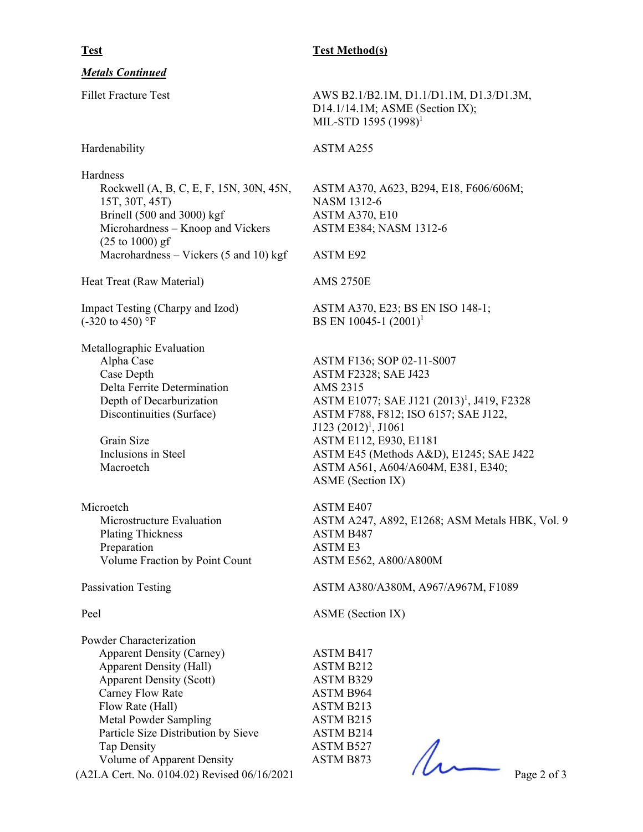*Metals Continued* 

Hardenability ASTM A255

### Hardness

Rockwell (A, B, C, E, F, 15N, 30N, 45N, 15T, 30T, 45T) Brinell (500 and 3000) kgf ASTM A370, E10 Microhardness – Knoop and Vickers (25 to 1000) gf Macrohardness – Vickers  $(5 \text{ and } 10)$  kgf ASTM E92

Heat Treat (Raw Material) AMS 2750E

Impact Testing (Charpy and Izod)  $(-320 \text{ to } 450)$  °F

Metallographic Evaluation Case Depth ASTM F2328; SAE J423 Delta Ferrite Determination AMS 2315

Microetch ASTM E407 Plating Thickness ASTM B487 Preparation ASTM E3 Volume Fraction by Point Count ASTM E562, A800/A800M

Tap Density<br>
Volume of Apparent Density<br>
(A2LA Cert. No. 0104.02) Revised 06/16/2021<br>
Page 2 of 3 Powder Characterization Apparent Density (Carney) ASTM B417 Apparent Density (Hall) ASTM B212 Apparent Density (Scott) ASTM B329 Carney Flow Rate ASTM B964 Flow Rate (Hall) ASTM B213 Metal Powder Sampling ASTM B215 Particle Size Distribution by Sieve ASTM B214 Tap Density ASTM B527 Volume of Apparent Density ASTM B873

Fillet Fracture Test AWS B2.1/B2.1M, D1.1/D1.1M, D1.3/D1.3M, D14.1/14.1M; ASME (Section IX); MIL-STD 1595  $(1998)^{1}$ 

ASTM A370, A623, B294, E18, F606/606M; NASM 1312-6 ASTM E384; NASM 1312-6

ASTM A370, E23; BS EN ISO 148-1; BS EN 10045-1  $(2001)^1$ 

Alpha Case ASTM F136; SOP 02-11-S007 Depth of Decarburization  $\blacksquare$  ASTM E1077; SAE J121  $(2013)^1$ , J419, F2328 Discontinuities (Surface) ASTM F788, F812; ISO 6157; SAE J122,  $J123$   $(2012)^1$ ,  $J1061$ Grain Size **ASTM E112**, E930, E1181 Inclusions in Steel ASTM E45 (Methods A&D), E1245; SAE J422 Macroetch ASTM A561, A604/A604M, E381, E340; ASME (Section IX)

Microstructure Evaluation ASTM A247, A892, E1268; ASM Metals HBK, Vol. 9

Passivation Testing Testing ASTM A380/A380M, A967/A967M, F1089

Peel ASME (Section IX)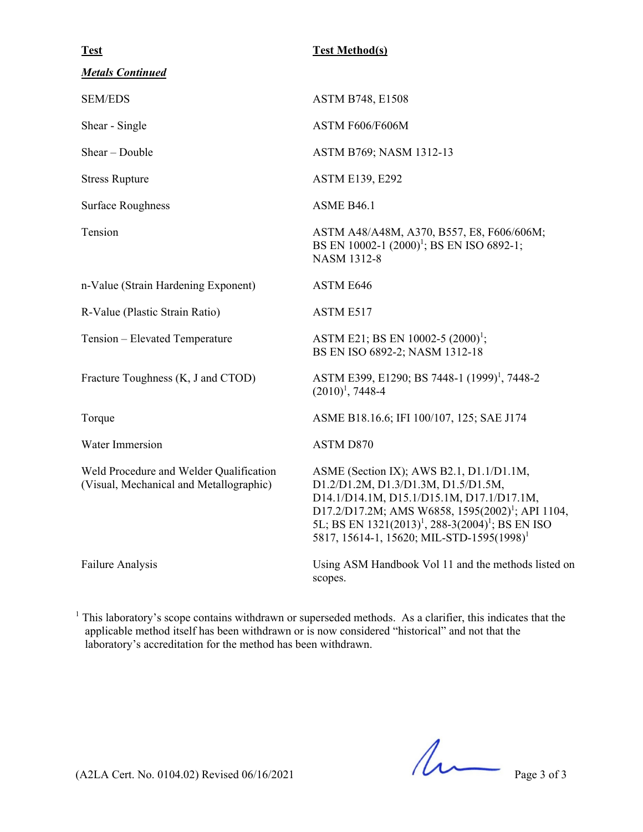| <b>Test</b>                                                                        | <b>Test Method(s)</b>                                                                                                                                                                                                                                                                                                             |
|------------------------------------------------------------------------------------|-----------------------------------------------------------------------------------------------------------------------------------------------------------------------------------------------------------------------------------------------------------------------------------------------------------------------------------|
| <b>Metals Continued</b>                                                            |                                                                                                                                                                                                                                                                                                                                   |
| <b>SEM/EDS</b>                                                                     | <b>ASTM B748, E1508</b>                                                                                                                                                                                                                                                                                                           |
| Shear - Single                                                                     | ASTM F606/F606M                                                                                                                                                                                                                                                                                                                   |
| Shear - Double                                                                     | ASTM B769; NASM 1312-13                                                                                                                                                                                                                                                                                                           |
| <b>Stress Rupture</b>                                                              | <b>ASTM E139, E292</b>                                                                                                                                                                                                                                                                                                            |
| <b>Surface Roughness</b>                                                           | ASME B46.1                                                                                                                                                                                                                                                                                                                        |
| Tension                                                                            | ASTM A48/A48M, A370, B557, E8, F606/606M;<br>BS EN 10002-1 (2000) <sup>1</sup> ; BS EN ISO 6892-1;<br><b>NASM 1312-8</b>                                                                                                                                                                                                          |
| n-Value (Strain Hardening Exponent)                                                | ASTM E646                                                                                                                                                                                                                                                                                                                         |
| R-Value (Plastic Strain Ratio)                                                     | ASTM E517                                                                                                                                                                                                                                                                                                                         |
| Tension – Elevated Temperature                                                     | ASTM E21; BS EN 10002-5 $(2000)^1$ ;<br>BS EN ISO 6892-2; NASM 1312-18                                                                                                                                                                                                                                                            |
| Fracture Toughness (K, J and CTOD)                                                 | ASTM E399, E1290; BS 7448-1 (1999) <sup>1</sup> , 7448-2<br>$(2010)^1$ , 7448-4                                                                                                                                                                                                                                                   |
| Torque                                                                             | ASME B18.16.6; IFI 100/107, 125; SAE J174                                                                                                                                                                                                                                                                                         |
| Water Immersion                                                                    | ASTM D870                                                                                                                                                                                                                                                                                                                         |
| Weld Procedure and Welder Qualification<br>(Visual, Mechanical and Metallographic) | ASME (Section IX); AWS B2.1, D1.1/D1.1M,<br>D1.2/D1.2M, D1.3/D1.3M, D1.5/D1.5M,<br>D14.1/D14.1M, D15.1/D15.1M, D17.1/D17.1M,<br>D17.2/D17.2M; AMS W6858, 1595(2002) <sup>1</sup> ; API 1104,<br>5L; BS EN 1321(2013) <sup>1</sup> , 288-3(2004) <sup>1</sup> ; BS EN ISO<br>5817, 15614-1, 15620; MIL-STD-1595(1998) <sup>1</sup> |
| Failure Analysis                                                                   | Using ASM Handbook Vol 11 and the methods listed on<br>scopes.                                                                                                                                                                                                                                                                    |

 $<sup>1</sup>$  This laboratory's scope contains withdrawn or superseded methods. As a clarifier, this indicates that the</sup> applicable method itself has been withdrawn or is now considered "historical" and not that the laboratory's accreditation for the method has been withdrawn.

 $(A2LA$  Cert. No. 0104.02) Revised 06/16/2021 Page 3 of 3